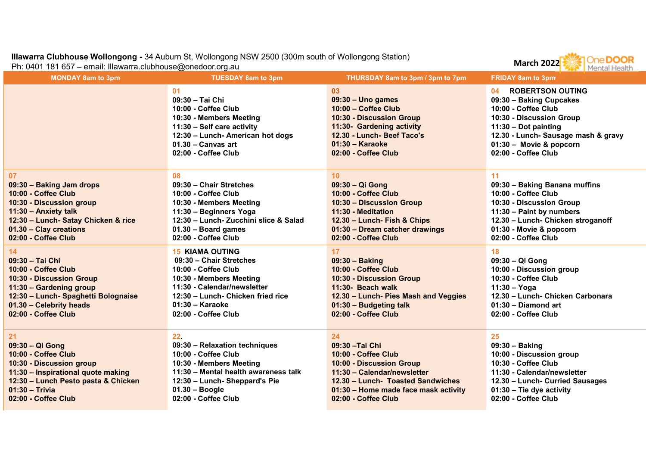## Illawarra Clubhouse Wollongong - 34 Auburn St, Wollongong NSW 2500 (300m south of Wollongong Station)<br>Ph: 0401 181 657 – email: Illawarra.clubhouse@onedoor.org.au

| Illawarra Clubhouse Wollongong - 34 Auburn St, Wollongong NSW 2500 (300m south of Wollongong Station)<br>Ph: 0401 181 657 - email: Illawarra.clubhouse@onedoor.org.au                             |                                                                                                                                                                                                                       |                                                                                                                                                                                                                         | <b>DOOR</b><br><b>March 2022</b><br><b>Mental Health</b>                                                                                                                                                                                                 |
|---------------------------------------------------------------------------------------------------------------------------------------------------------------------------------------------------|-----------------------------------------------------------------------------------------------------------------------------------------------------------------------------------------------------------------------|-------------------------------------------------------------------------------------------------------------------------------------------------------------------------------------------------------------------------|----------------------------------------------------------------------------------------------------------------------------------------------------------------------------------------------------------------------------------------------------------|
| <b>MONDAY 8am to 3pm</b>                                                                                                                                                                          | <b>TUESDAY 8am to 3pm</b><br>01<br>09:30 - Tai Chi<br>10:00 - Coffee Club<br>10:30 - Members Meeting<br>11:30 - Self care activity<br>12:30 - Lunch- American hot dogs<br>$01.30 -$ Canvas art<br>02:00 - Coffee Club | THURSDAY 8am to 3pm / 3pm to 7pm<br>03<br>$09:30 -$ Uno games<br>10:00 - Coffee Club<br>10:30 - Discussion Group<br>11:30- Gardening activity<br>12.30 - Lunch- Beef Taco's<br>$01:30 -$ Karaoke<br>02:00 - Coffee Club | <b>FRIDAY 8am to 3pm</b><br><b>ROBERTSON OUTING</b><br>04<br>09:30 - Baking Cupcakes<br>10:00 - Coffee Club<br>10:30 - Discussion Group<br>11:30 - Dot painting<br>12.30 - Lunch- Sausage mash & gravy<br>01:30 - Movie & popcorn<br>02:00 - Coffee Club |
| 07<br>09:30 - Baking Jam drops<br>10:00 - Coffee Club<br>10:30 - Discussion group<br>11:30 - Anxiety talk<br>12:30 - Lunch- Satay Chicken & rice<br>01.30 - Clay creations<br>02:00 - Coffee Club | 08<br>09:30 - Chair Stretches<br>10:00 - Coffee Club<br>10:30 - Members Meeting<br>11:30 - Beginners Yoga<br>12:30 - Lunch- Zucchini slice & Salad<br>01.30 - Board games<br>02:00 - Coffee Club                      | 10 <sup>°</sup><br>09:30 - Qi Gong<br>10:00 - Coffee Club<br>10:30 - Discussion Group<br>11:30 - Meditation<br>12.30 - Lunch- Fish & Chips<br>01:30 - Dream catcher drawings<br>02:00 - Coffee Club                     | 11<br>09:30 - Baking Banana muffins<br>10:00 - Coffee Club<br>10:30 - Discussion Group<br>11:30 - Paint by numbers<br>12.30 - Lunch- Chicken stroganoff<br>01:30 - Movie & popcorn<br>02:00 - Coffee Club                                                |
| 14<br>09:30 - Tai Chi<br>10:00 - Coffee Club<br>10:30 - Discussion Group<br>11:30 - Gardening group<br>12:30 - Lunch- Spaghetti Bolognaise<br>01.30 - Celebrity heads<br>02:00 - Coffee Club      | <b>15 KIAMA OUTING</b><br>09:30 - Chair Stretches<br>10:00 - Coffee Club<br>10:30 - Members Meeting<br>11:30 - Calendar/newsletter<br>12:30 - Lunch- Chicken fried rice<br>$01:30 -$ Karaoke<br>02:00 - Coffee Club   | 17<br>$09:30 - Baking$<br>10:00 - Coffee Club<br>10:30 - Discussion Group<br>11:30- Beach walk<br>12.30 - Lunch- Pies Mash and Veggies<br>01:30 - Budgeting talk<br>02:00 - Coffee Club                                 | 18<br>09:30 - Qi Gong<br>10:00 - Discussion group<br>10:30 - Coffee Club<br>$11:30 - Yoga$<br>12.30 - Lunch- Chicken Carbonara<br>01:30 - Diamond art<br>02:00 - Coffee Club                                                                             |
| 21<br>09:30 - Qi Gong<br>10:00 - Coffee Club<br>10:30 - Discussion group<br>11:30 - Inspirational quote making<br>12:30 - Lunch Pesto pasta & Chicken<br>$01:30 - Trivia$<br>02:00 - Coffee Club  | 22.<br>09:30 - Relaxation techniques<br>10:00 - Coffee Club<br>10:30 - Members Meeting<br>11:30 - Mental health awareness talk<br>12:30 - Lunch- Sheppard's Pie<br>$01.30 - Boogle$<br>02:00 - Coffee Club            | 24<br>09:30 - Tai Chi<br>10:00 - Coffee Club<br>10:00 - Discussion Group<br>11:30 - Calendar/newsletter<br>12.30 - Lunch- Toasted Sandwiches<br>01:30 - Home made face mask activity<br>02:00 - Coffee Club             | 25<br>09:30 - Baking<br>10:00 - Discussion group<br>10:30 - Coffee Club<br>11:30 - Calendar/newsletter<br>12.30 - Lunch- Curried Sausages<br>$01:30$ – Tie dye activity<br>02:00 - Coffee Club                                                           |
|                                                                                                                                                                                                   |                                                                                                                                                                                                                       |                                                                                                                                                                                                                         |                                                                                                                                                                                                                                                          |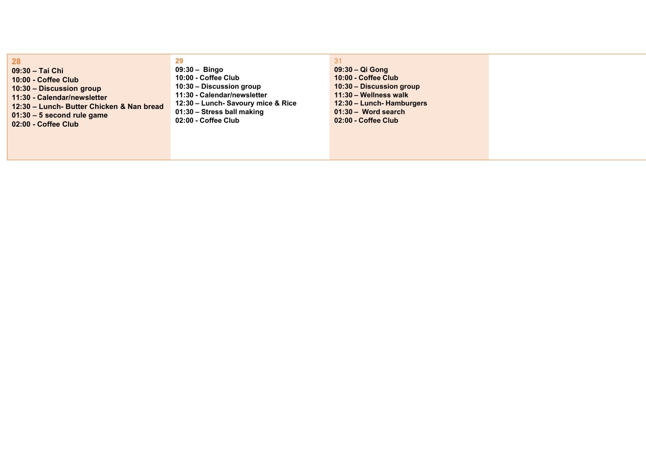28 28<br>
09:30 – Tai Chi<br>
10:00 - Coffee Club<br>
10:00 - Coffee Club<br>
10:30 – Discussion group<br>
11:30 - Calendar/newsletter<br>
12:30 – Lunch- Butter Chicken & Nan bread<br>
01:30 – 5 second rule game<br>
12:30 – Lunch- Savoury mice & Ri  $10:00 - \text{Coffee Club}\n \begin{array}{l} \text{10:00 - Coffee Club}\\ \text{10:00 - Coffee Club}\\ \text{11:30 - Discussion group}\\ \text{11:30 - Lunch- Butter Chicken & Nan bread}\\ \text{12:30 - Lunch- Savoury mice & Ri}\\ \text{13:30 - S second rule game}\\ \text{14:30 - Coffee Club}\\ \text{15:30 - Soffee Club}\\ \text{16:31 - Sorsball making}\\ \text{17:32 - Coffee Club}\\ \text{18:33 - Sorsball making}\\ \text{19:34 - Sorsball making}\\ \text{10:35 - S.} \end{array$ **28**<br>
09:30 – Tai Chi<br>
10:00 - Coffee Club<br>
10:30 – Discussion group<br>
11:30 - Calendar/newsletter<br>
11:30 – Calendar/newsletter<br>
11:30 – Calendar/newsletter<br>
11:30 – Calendar/newsletter<br>
12:30 – Lunch-Bavoury mice & Ric<br>
1  $10:30 - 12:30 - 12:30 - 12:30 - 12:30 - 12:30 - 12:30 - 12:30 - 12:30 - 12:30 - 12:30 - 12:30 - 12:30 - 12:30 - 12:30 - 12:30 - 12:30 - 12:30 - 12:30 - 12:30 - 12:30 - 12:30 - 12:30 - 12:30 - 12:30 - 12:30 - 12:30 - 12:30 - 12:30 - 12:30 - 12:30 - 12:$ **28**<br>
09:30 – Tai Chi<br>
10:00 - Coffee Club<br>
10:30 – Discussion group<br>
11:30 – Discussion group<br>
11:30 – Collendar/newsletter<br>
12:30 – Lunch- Butter Chicken & Nan bread<br>
01:30 – Stress ball making<br>
02:00 - Coffee Club<br>
02:  $\begin{array}{lllllllllllllll} \textbf{28} & \textbf{29} \\ \textbf{09:30 - Iai Chi} & \textbf{09:30 - Bingo} \\ \textbf{10:00 - Coffee Club} & \textbf{10:00 - Coffee Club} \\ \textbf{10:30 - Discussion group} & \textbf{10:30 - Discussion group} \\ \textbf{11:30 - Calendar/newsletter} & \textbf{11:30 - Calendar/newsletter} \\ \textbf{21:30 - Lunch- Butter Chicken & Nan bread} & \textbf{12:30 - Lunch-Soury mice & Ri \\ \textbf{01:30 - S second rule game} & \textbf{01:$ 

## 28<br>
09:30 – Tai Chi<br>
10:00 - Coffee Club<br>
10:30 – Discussion group<br>
11:30 - Calendar/newsletter<br>
12:30 – Lunch- Butter Chicken & Nan bread<br>
11:30 - Calendar/newsletter<br>
12:30 – Lunch- Savoury mice & Rice<br>
01:30 – Second r 29 29<br>
09:30 – Bingo<br>
10:00 - Coffee Club<br>
10:30 – Discussion group<br>
11:30 – Calendar/newsletter<br>
12:30 – Lunch-Savoury mice & Rice<br>
12:30 – Lunch-Savoury mice & Rice<br>
12:30 – Lunch-Hamburgers<br>
12:30 – Lunch-Hamburgers<br>
12:3 29<br>
09:30 – Bingo<br>
10:00 - Coffee Club<br>
10:30 – Discussion group<br>
11:30 – Coffee Club<br>
11:30 – Calendar/newsletter<br>
12:30 – Lunch-Savoury mice & Rice<br>
12:30 – Lunch-Hamburgers<br>
12:30 – Lunch-Savoury mice & Rice<br>
12:30 – 29<br>
09:30 – Bingo<br>
10:00 - Coffee Club<br>
10:30 – Discussion group<br>
10:30 – Discussion group<br>
11:30 – Calendar/newsletter<br>
12:30 – Lunch-Savoury nice & Rice<br>
21:30 – Lunch-Hamburgers<br>
11:30 – Marking<br>
12:30 – Lunch-Hamburg **29**<br>
09:30 - Bingo<br>
10:00 - Coffee Club<br>
10:30 - Discussion group<br>
11:30 - Calendar/newsletter<br>
11:30 - Calendar/newsletter<br>
11:30 - Lunch - Savoury mice & Rice<br>
11:30 - Word search<br>
11:30 - Word search<br>
11:30 - Word sea 29<br>
09:30 – Bingo<br>
10:00 - Coffee Club<br>
10:30 – Discussion group<br>
10:30 – Discussion group<br>
10:30 – Discussion group<br>
12:30 – Lunch- Savoury mice & Rice<br>
12:30 – Lunch- Hamburgers<br>
12:30 – Lunch- Savoury mice & Rice<br>
12:30 **29**<br>
09:30 – Bingo<br>
10:00 - Coffee Club<br>
10:30 – Discussion group<br>
11:30 – Calendar/newsletter<br>
11:30 – Calendar/newsletter<br>
11:30 – Vellness walk<br>
12:30 – Lunch - Savoury mice & Rice<br>
13:30 – Lunch - Hamburgers<br>
12:30 –  $10:30 - \text{Bingo} \\\hline 10:30 - \text{Oif} \\ \text{De Coffee Club} \\ \text{10:30 - Disclusion group} \\ \text{11:30 - Calendar/newsletter} \\ \text{11:30 - Lunch-Savoury mice & Rice} \\ \text{12:30 - Lunch-Savoury mice & Rice} \\ \text{13:30 - World-square, Hamburgers} \\ \text{13:30 - World search} \\ \text{13:30 - World search} \\ \text{13:30 - World search} \\ \text{13:30 - World search} \\ \text{13:31 - World search} \\ \text{13:32 - World search} \\ \text{13:33 -$

31 31<br>09:30 – Qi Gong<br>10:00 - Coffee Club<br>10:30 – Discussion group<br>11:30 – Wellness walk<br>12:30 – Lunch- Hamburgers<br>01:30 – Word search 31<br>09:30 – Qi Gong<br>10:00 - Coffee Club<br>10:30 – Discussion group<br>11:30 – Wellness walk<br>12:30 – Lunch- Hamburgers<br>01:30 – Word search<br>02:00 - Coffee Club 31<br>09:30 – Qi Gong<br>10:00 - Coffee Club<br>10:30 – Discussion group<br>11:30 – Wellness walk<br>12:30 – Lunch-Hamburgers<br>01:30 – Word search<br>02:00 - Coffee Club 31<br>09:30 – Qi Gong<br>10:00 - Coffee Club<br>10:30 – Discussion group<br>11:30 – Wellness walk<br>12:30 – Lunch-Hamburgers<br>01:30 – Word search<br>02:00 - Coffee Club 31<br>09:30 – Qi Gong<br>10:00 - Coffee Club<br>10:30 – Discussion group<br>11:30 – Wellness walk<br>12:30 – Lunch- Hamburgers<br>01:30 – Word search<br>02:00 - Coffee Club 31<br>09:30 – Qi Gong<br>10:00 - Coffee Club<br>10:30 – Discussion group<br>11:30 – Wellness walk<br>12:30 – Lunch- Hamburgers<br>01:30 – Word search<br>02:00 - Coffee Club 31<br>09:30 – Qi Gong<br>10:00 - Coffee Club<br>10:30 – Discussion group<br>11:30 – Wellness walk<br>12:30 – Lunch- Hamburgers<br>01:30 – Word search<br>02:00 - Coffee Club